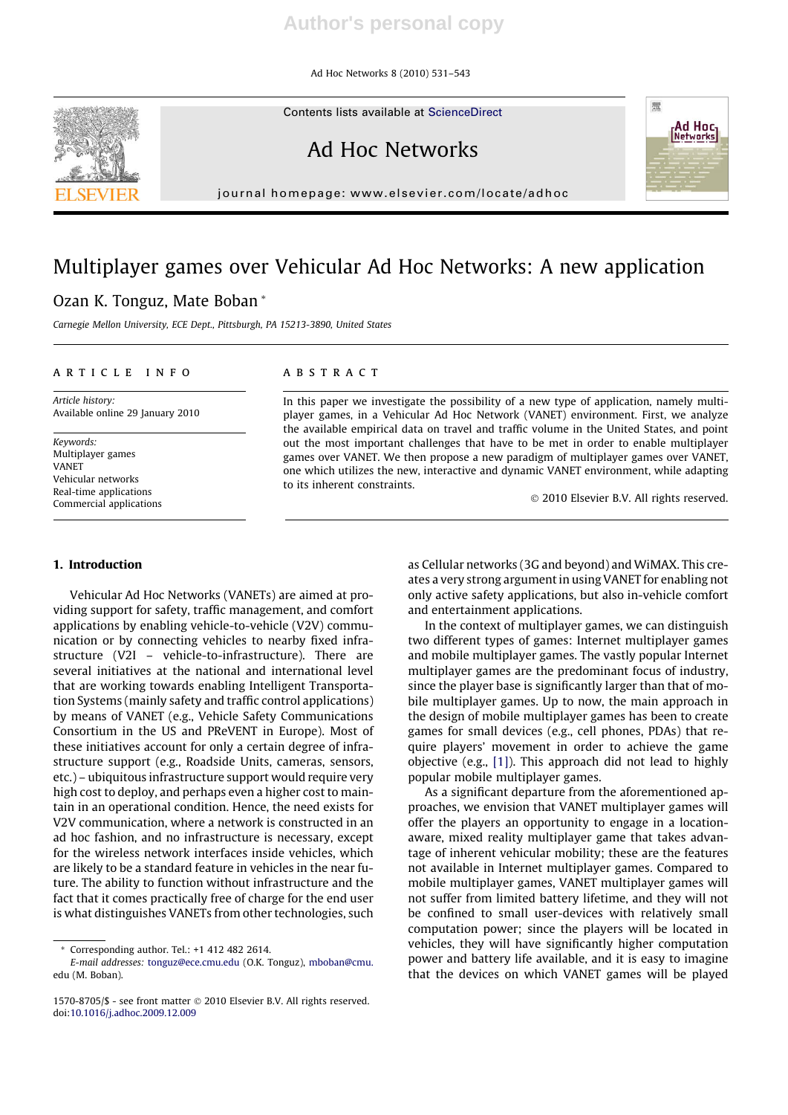Ad Hoc Networks 8 (2010) 531–543

Contents lists available at ScienceDirect





journal homepage: www.elsevier.com/locate/adhoc

# Multiplayer games over Vehicular Ad Hoc Networks: A new application

## Ozan K. Tonguz, Mate Boban \*

Carnegie Mellon University, ECE Dept., Pittsburgh, PA 15213-3890, United States

#### article info

Article history: Available online 29 January 2010

Keywords: Multiplayer games VANET Vehicular networks Real-time applications Commercial applications

## **ABSTRACT**

In this paper we investigate the possibility of a new type of application, namely multiplayer games, in a Vehicular Ad Hoc Network (VANET) environment. First, we analyze the available empirical data on travel and traffic volume in the United States, and point out the most important challenges that have to be met in order to enable multiplayer games over VANET. We then propose a new paradigm of multiplayer games over VANET, one which utilizes the new, interactive and dynamic VANET environment, while adapting to its inherent constraints.

© 2010 Elsevier B.V. All rights reserved.

#### 1. Introduction

Vehicular Ad Hoc Networks (VANETs) are aimed at providing support for safety, traffic management, and comfort applications by enabling vehicle-to-vehicle (V2V) communication or by connecting vehicles to nearby fixed infrastructure (V2I – vehicle-to-infrastructure). There are several initiatives at the national and international level that are working towards enabling Intelligent Transportation Systems (mainly safety and traffic control applications) by means of VANET (e.g., Vehicle Safety Communications Consortium in the US and PReVENT in Europe). Most of these initiatives account for only a certain degree of infrastructure support (e.g., Roadside Units, cameras, sensors, etc.) – ubiquitous infrastructure support would require very high cost to deploy, and perhaps even a higher cost to maintain in an operational condition. Hence, the need exists for V2V communication, where a network is constructed in an ad hoc fashion, and no infrastructure is necessary, except for the wireless network interfaces inside vehicles, which are likely to be a standard feature in vehicles in the near future. The ability to function without infrastructure and the fact that it comes practically free of charge for the end user is what distinguishes VANETs from other technologies, such as Cellular networks (3G and beyond) and WiMAX. This creates a very strong argument in using VANET for enabling not only active safety applications, but also in-vehicle comfort and entertainment applications.

In the context of multiplayer games, we can distinguish two different types of games: Internet multiplayer games and mobile multiplayer games. The vastly popular Internet multiplayer games are the predominant focus of industry, since the player base is significantly larger than that of mobile multiplayer games. Up to now, the main approach in the design of mobile multiplayer games has been to create games for small devices (e.g., cell phones, PDAs) that require players' movement in order to achieve the game objective (e.g., [1]). This approach did not lead to highly popular mobile multiplayer games.

As a significant departure from the aforementioned approaches, we envision that VANET multiplayer games will offer the players an opportunity to engage in a locationaware, mixed reality multiplayer game that takes advantage of inherent vehicular mobility; these are the features not available in Internet multiplayer games. Compared to mobile multiplayer games, VANET multiplayer games will not suffer from limited battery lifetime, and they will not be confined to small user-devices with relatively small computation power; since the players will be located in vehicles, they will have significantly higher computation power and battery life available, and it is easy to imagine that the devices on which VANET games will be played



Corresponding author. Tel.:  $+1$  412 482 2614.

E-mail addresses: tonguz@ece.cmu.edu (O.K. Tonguz), mboban@cmu. edu (M. Boban).

<sup>1570-8705/\$ -</sup> see front matter © 2010 Elsevier B.V. All rights reserved. doi:10.1016/j.adhoc.2009.12.009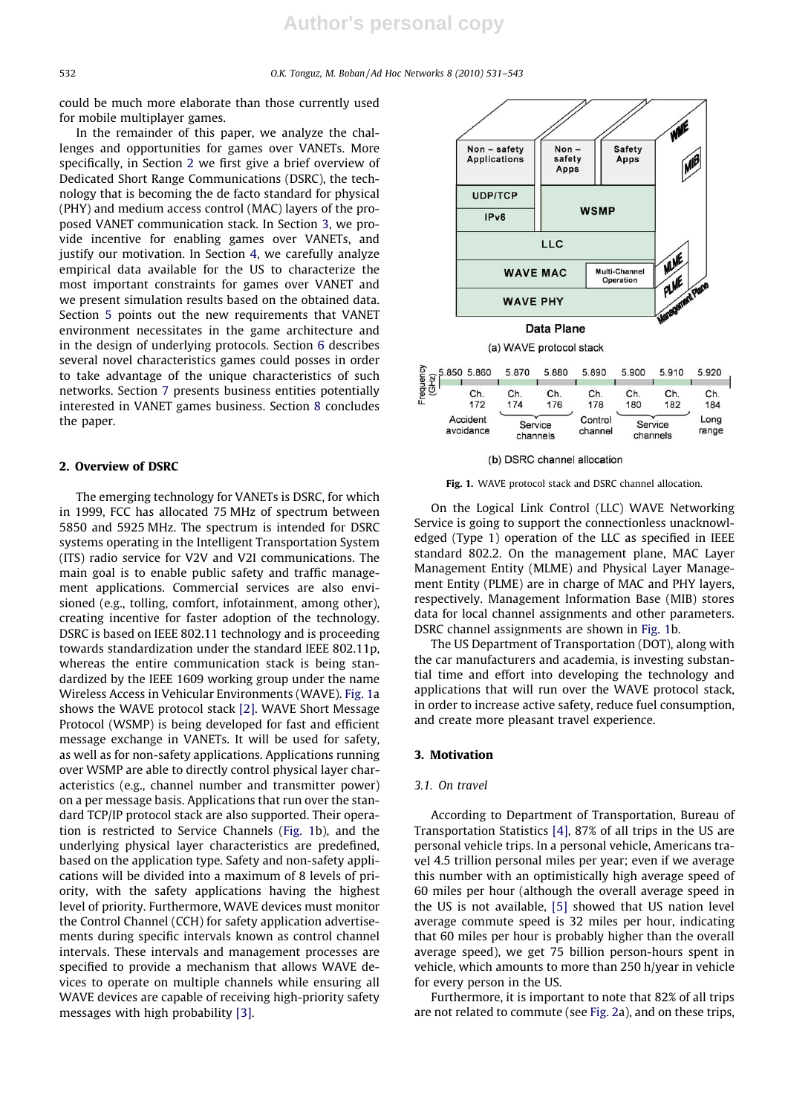could be much more elaborate than those currently used for mobile multiplayer games.

In the remainder of this paper, we analyze the challenges and opportunities for games over VANETs. More specifically, in Section 2 we first give a brief overview of Dedicated Short Range Communications (DSRC), the technology that is becoming the de facto standard for physical (PHY) and medium access control (MAC) layers of the proposed VANET communication stack. In Section 3, we provide incentive for enabling games over VANETs, and justify our motivation. In Section 4, we carefully analyze empirical data available for the US to characterize the most important constraints for games over VANET and we present simulation results based on the obtained data. Section 5 points out the new requirements that VANET environment necessitates in the game architecture and in the design of underlying protocols. Section 6 describes several novel characteristics games could posses in order to take advantage of the unique characteristics of such networks. Section 7 presents business entities potentially interested in VANET games business. Section 8 concludes the paper.

## 2. Overview of DSRC

The emerging technology for VANETs is DSRC, for which in 1999, FCC has allocated 75 MHz of spectrum between 5850 and 5925 MHz. The spectrum is intended for DSRC systems operating in the Intelligent Transportation System (ITS) radio service for V2V and V2I communications. The main goal is to enable public safety and traffic management applications. Commercial services are also envisioned (e.g., tolling, comfort, infotainment, among other), creating incentive for faster adoption of the technology. DSRC is based on IEEE 802.11 technology and is proceeding towards standardization under the standard IEEE 802.11p, whereas the entire communication stack is being standardized by the IEEE 1609 working group under the name Wireless Access in Vehicular Environments (WAVE). Fig. 1a shows the WAVE protocol stack [2]. WAVE Short Message Protocol (WSMP) is being developed for fast and efficient message exchange in VANETs. It will be used for safety, as well as for non-safety applications. Applications running over WSMP are able to directly control physical layer characteristics (e.g., channel number and transmitter power) on a per message basis. Applications that run over the standard TCP/IP protocol stack are also supported. Their operation is restricted to Service Channels (Fig. 1b), and the underlying physical layer characteristics are predefined, based on the application type. Safety and non-safety applications will be divided into a maximum of 8 levels of priority, with the safety applications having the highest level of priority. Furthermore, WAVE devices must monitor the Control Channel (CCH) for safety application advertisements during specific intervals known as control channel intervals. These intervals and management processes are specified to provide a mechanism that allows WAVE devices to operate on multiple channels while ensuring all WAVE devices are capable of receiving high-priority safety messages with high probability [3].



Fig. 1. WAVE protocol stack and DSRC channel allocation.

On the Logical Link Control (LLC) WAVE Networking Service is going to support the connectionless unacknowledged (Type 1) operation of the LLC as specified in IEEE standard 802.2. On the management plane, MAC Layer Management Entity (MLME) and Physical Layer Management Entity (PLME) are in charge of MAC and PHY layers, respectively. Management Information Base (MIB) stores data for local channel assignments and other parameters. DSRC channel assignments are shown in Fig. 1b.

The US Department of Transportation (DOT), along with the car manufacturers and academia, is investing substantial time and effort into developing the technology and applications that will run over the WAVE protocol stack, in order to increase active safety, reduce fuel consumption, and create more pleasant travel experience.

## 3. Motivation

#### 3.1. On travel

According to Department of Transportation, Bureau of Transportation Statistics [4], 87% of all trips in the US are personal vehicle trips. In a personal vehicle, Americans travel 4.5 trillion personal miles per year; even if we average this number with an optimistically high average speed of 60 miles per hour (although the overall average speed in the US is not available, [5] showed that US nation level average commute speed is 32 miles per hour, indicating that 60 miles per hour is probably higher than the overall average speed), we get 75 billion person-hours spent in vehicle, which amounts to more than 250 h/year in vehicle for every person in the US.

Furthermore, it is important to note that 82% of all trips are not related to commute (see Fig. 2a), and on these trips,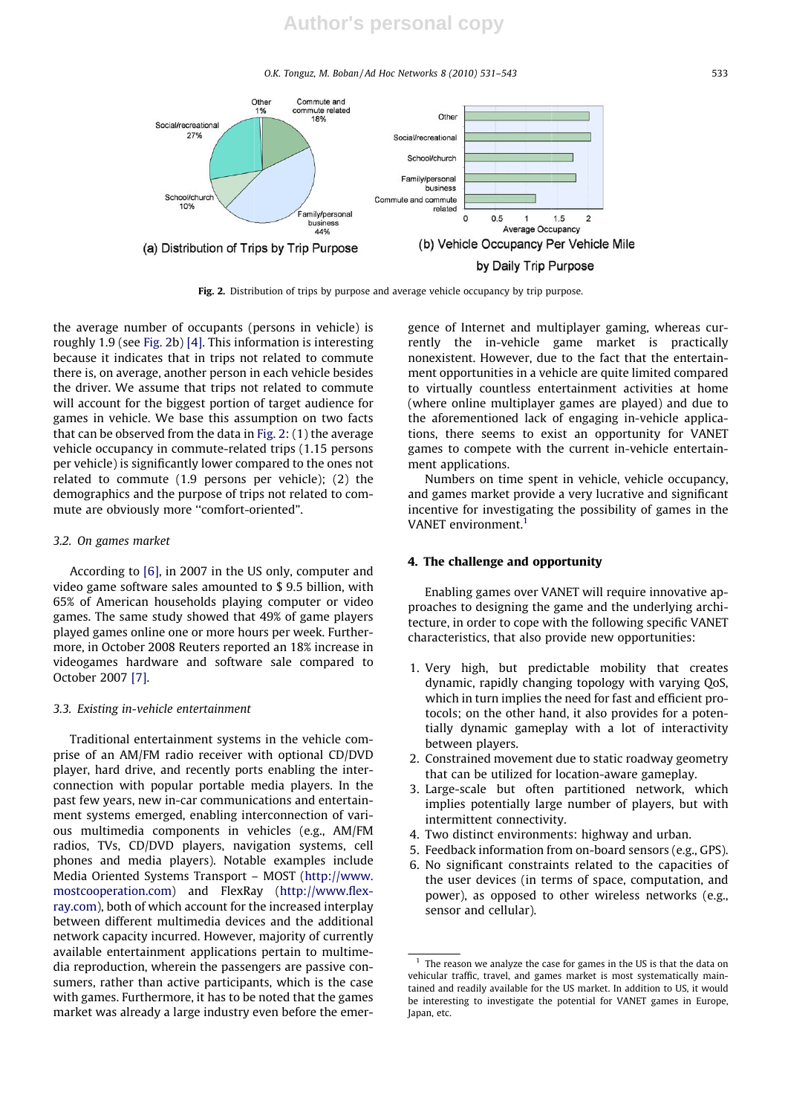O.K. Tonguz, M. Boban / Ad Hoc Networks 8 (2010) 531–543 533



Fig. 2. Distribution of trips by purpose and average vehicle occupancy by trip purpose.

the average number of occupants (persons in vehicle) is roughly 1.9 (see Fig. 2b) [4]. This information is interesting because it indicates that in trips not related to commute there is, on average, another person in each vehicle besides the driver. We assume that trips not related to commute will account for the biggest portion of target audience for games in vehicle. We base this assumption on two facts that can be observed from the data in Fig. 2: (1) the average vehicle occupancy in commute-related trips (1.15 persons per vehicle) is significantly lower compared to the ones not related to commute (1.9 persons per vehicle); (2) the demographics and the purpose of trips not related to commute are obviously more "comfort-oriented".

## 3.2. On games market

According to [6], in 2007 in the US only, computer and video game software sales amounted to \$ 9.5 billion, with 65% of American households playing computer or video games. The same study showed that 49% of game players played games online one or more hours per week. Furthermore, in October 2008 Reuters reported an 18% increase in videogames hardware and software sale compared to October 2007 [7].

## 3.3. Existing in-vehicle entertainment

Traditional entertainment systems in the vehicle comprise of an AM/FM radio receiver with optional CD/DVD player, hard drive, and recently ports enabling the interconnection with popular portable media players. In the past few years, new in-car communications and entertainment systems emerged, enabling interconnection of various multimedia components in vehicles (e.g., AM/FM radios, TVs, CD/DVD players, navigation systems, cell phones and media players). Notable examples include Media Oriented Systems Transport – MOST (http://www. mostcooperation.com) and FlexRay (http://www.flexray.com), both of which account for the increased interplay between different multimedia devices and the additional network capacity incurred. However, majority of currently available entertainment applications pertain to multimedia reproduction, wherein the passengers are passive consumers, rather than active participants, which is the case with games. Furthermore, it has to be noted that the games market was already a large industry even before the emergence of Internet and multiplayer gaming, whereas currently the in-vehicle game market is practically nonexistent. However, due to the fact that the entertainment opportunities in a vehicle are quite limited compared to virtually countless entertainment activities at home (where online multiplayer games are played) and due to the aforementioned lack of engaging in-vehicle applications, there seems to exist an opportunity for VANET games to compete with the current in-vehicle entertainment applications.

Numbers on time spent in vehicle, vehicle occupancy, and games market provide a very lucrative and significant incentive for investigating the possibility of games in the VANET environment.<sup>1</sup>

## 4. The challenge and opportunity

Enabling games over VANET will require innovative approaches to designing the game and the underlying architecture, in order to cope with the following specific VANET characteristics, that also provide new opportunities:

- 1. Very high, but predictable mobility that creates dynamic, rapidly changing topology with varying QoS, which in turn implies the need for fast and efficient protocols; on the other hand, it also provides for a potentially dynamic gameplay with a lot of interactivity between players.
- 2. Constrained movement due to static roadway geometry that can be utilized for location-aware gameplay.
- 3. Large-scale but often partitioned network, which implies potentially large number of players, but with intermittent connectivity.
- 4. Two distinct environments: highway and urban.
- 5. Feedback information from on-board sensors (e.g., GPS).
- 6. No significant constraints related to the capacities of the user devices (in terms of space, computation, and power), as opposed to other wireless networks (e.g., sensor and cellular).

 $1$  The reason we analyze the case for games in the US is that the data on vehicular traffic, travel, and games market is most systematically maintained and readily available for the US market. In addition to US, it would be interesting to investigate the potential for VANET games in Europe, Japan, etc.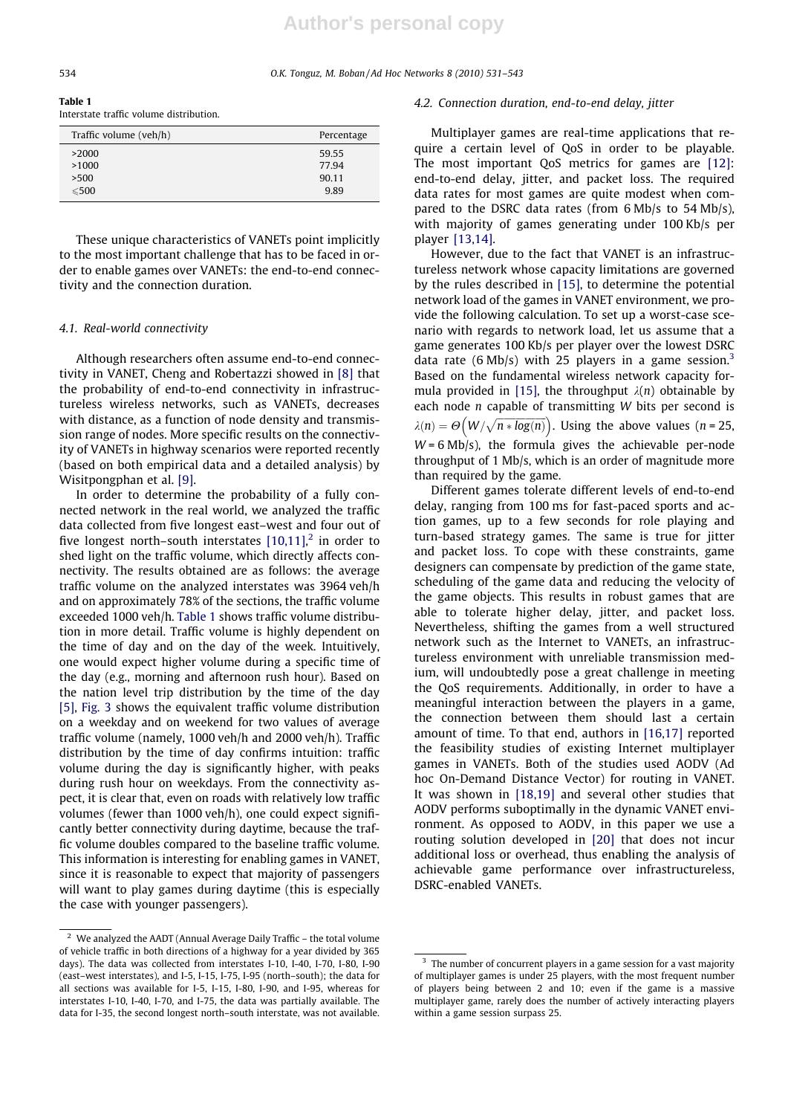Table 1 Interstate traffic volume distribution.

| Traffic volume (veh/h) | Percentage |
|------------------------|------------|
| >2000                  | 59.55      |
| >1000                  | 77.94      |
| >500                   | 90.11      |
| $\leq 500$             | 9.89       |
|                        |            |

These unique characteristics of VANETs point implicitly to the most important challenge that has to be faced in order to enable games over VANETs: the end-to-end connectivity and the connection duration.

## 4.1. Real-world connectivity

Although researchers often assume end-to-end connectivity in VANET, Cheng and Robertazzi showed in [8] that the probability of end-to-end connectivity in infrastructureless wireless networks, such as VANETs, decreases with distance, as a function of node density and transmission range of nodes. More specific results on the connectivity of VANETs in highway scenarios were reported recently (based on both empirical data and a detailed analysis) by Wisitpongphan et al. [9].

In order to determine the probability of a fully connected network in the real world, we analyzed the traffic data collected from five longest east–west and four out of five longest north–south interstates  $[10,11]$ ,<sup>2</sup> in order to shed light on the traffic volume, which directly affects connectivity. The results obtained are as follows: the average traffic volume on the analyzed interstates was 3964 veh/h and on approximately 78% of the sections, the traffic volume exceeded 1000 veh/h. Table 1 shows traffic volume distribution in more detail. Traffic volume is highly dependent on the time of day and on the day of the week. Intuitively, one would expect higher volume during a specific time of the day (e.g., morning and afternoon rush hour). Based on the nation level trip distribution by the time of the day [5], Fig. 3 shows the equivalent traffic volume distribution on a weekday and on weekend for two values of average traffic volume (namely, 1000 veh/h and 2000 veh/h). Traffic distribution by the time of day confirms intuition: traffic volume during the day is significantly higher, with peaks during rush hour on weekdays. From the connectivity aspect, it is clear that, even on roads with relatively low traffic volumes (fewer than 1000 veh/h), one could expect significantly better connectivity during daytime, because the traffic volume doubles compared to the baseline traffic volume. This information is interesting for enabling games in VANET, since it is reasonable to expect that majority of passengers will want to play games during daytime (this is especially the case with younger passengers).

### 4.2. Connection duration, end-to-end delay, jitter

Multiplayer games are real-time applications that require a certain level of QoS in order to be playable. The most important QoS metrics for games are [12]: end-to-end delay, jitter, and packet loss. The required data rates for most games are quite modest when compared to the DSRC data rates (from 6 Mb/s to 54 Mb/s), with majority of games generating under 100 Kb/s per player [13,14].

However, due to the fact that VANET is an infrastructureless network whose capacity limitations are governed by the rules described in [15], to determine the potential network load of the games in VANET environment, we provide the following calculation. To set up a worst-case scenario with regards to network load, let us assume that a game generates 100 Kb/s per player over the lowest DSRC data rate (6 Mb/s) with 25 players in a game session.<sup>3</sup> Based on the fundamental wireless network capacity formula provided in [15], the throughput  $\lambda(n)$  obtainable by each node n capable of transmitting W bits per second is  $\lambda(n) = \Theta\left(W/\sqrt{n * log(n)}\right)$ . Using the above values (n = 25,  $W = 6$  Mb/s), the formula gives the achievable per-node throughput of 1 Mb/s, which is an order of magnitude more than required by the game.

Different games tolerate different levels of end-to-end delay, ranging from 100 ms for fast-paced sports and action games, up to a few seconds for role playing and turn-based strategy games. The same is true for jitter and packet loss. To cope with these constraints, game designers can compensate by prediction of the game state, scheduling of the game data and reducing the velocity of the game objects. This results in robust games that are able to tolerate higher delay, jitter, and packet loss. Nevertheless, shifting the games from a well structured network such as the Internet to VANETs, an infrastructureless environment with unreliable transmission medium, will undoubtedly pose a great challenge in meeting the QoS requirements. Additionally, in order to have a meaningful interaction between the players in a game, the connection between them should last a certain amount of time. To that end, authors in [16,17] reported the feasibility studies of existing Internet multiplayer games in VANETs. Both of the studies used AODV (Ad hoc On-Demand Distance Vector) for routing in VANET. It was shown in [18,19] and several other studies that AODV performs suboptimally in the dynamic VANET environment. As opposed to AODV, in this paper we use a routing solution developed in [20] that does not incur additional loss or overhead, thus enabling the analysis of achievable game performance over infrastructureless, DSRC-enabled VANETs.

 $2$  We analyzed the AADT (Annual Average Daily Traffic – the total volume of vehicle traffic in both directions of a highway for a year divided by 365 days). The data was collected from interstates I-10, I-40, I-70, I-80, I-90 (east–west interstates), and I-5, I-15, I-75, I-95 (north–south); the data for all sections was available for I-5, I-15, I-80, I-90, and I-95, whereas for interstates I-10, I-40, I-70, and I-75, the data was partially available. The data for I-35, the second longest north–south interstate, was not available.

<sup>&</sup>lt;sup>3</sup> The number of concurrent players in a game session for a vast majority of multiplayer games is under 25 players, with the most frequent number of players being between 2 and 10; even if the game is a massive multiplayer game, rarely does the number of actively interacting players within a game session surpass 25.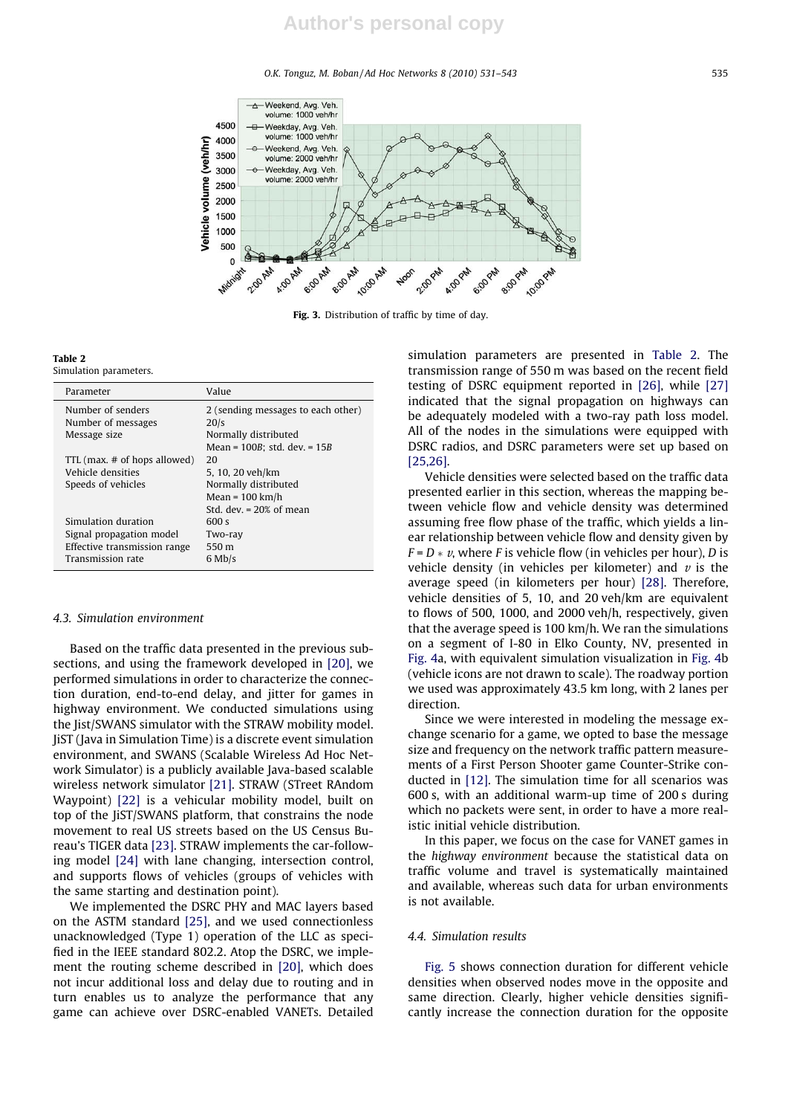O.K. Tonguz, M. Boban / Ad Hoc Networks 8 (2010) 531–543 535



Fig. 3. Distribution of traffic by time of day.

| Table 2 |                        |
|---------|------------------------|
|         | Simulation parameters. |

| Parameter                    | Value                              |
|------------------------------|------------------------------------|
| Number of senders            | 2 (sending messages to each other) |
| Number of messages           | 20/s                               |
| Message size                 | Normally distributed               |
|                              | Mean = $100B$ ; std. dev. = $15B$  |
| TTL (max. # of hops allowed) | 20                                 |
| Vehicle densities            | 5, 10, 20 veh/km                   |
| Speeds of vehicles           | Normally distributed               |
|                              | Mean = $100 \text{ km/h}$          |
|                              | Std. dev. $= 20\%$ of mean         |
| Simulation duration          | 600 s                              |
| Signal propagation model     | Two-ray                            |
| Effective transmission range | 550 m                              |
| <b>Transmission rate</b>     | $6$ Mb/s                           |

## 4.3. Simulation environment

Based on the traffic data presented in the previous subsections, and using the framework developed in [20], we performed simulations in order to characterize the connection duration, end-to-end delay, and jitter for games in highway environment. We conducted simulations using the Jist/SWANS simulator with the STRAW mobility model. JiST (Java in Simulation Time) is a discrete event simulation environment, and SWANS (Scalable Wireless Ad Hoc Network Simulator) is a publicly available Java-based scalable wireless network simulator [21]. STRAW (STreet RAndom Waypoint) [22] is a vehicular mobility model, built on top of the JiST/SWANS platform, that constrains the node movement to real US streets based on the US Census Bureau's TIGER data [23]. STRAW implements the car-following model [24] with lane changing, intersection control, and supports flows of vehicles (groups of vehicles with the same starting and destination point).

We implemented the DSRC PHY and MAC layers based on the ASTM standard [25], and we used connectionless unacknowledged (Type 1) operation of the LLC as specified in the IEEE standard 802.2. Atop the DSRC, we implement the routing scheme described in [20], which does not incur additional loss and delay due to routing and in turn enables us to analyze the performance that any game can achieve over DSRC-enabled VANETs. Detailed

simulation parameters are presented in Table 2. The transmission range of 550 m was based on the recent field testing of DSRC equipment reported in [26], while [27] indicated that the signal propagation on highways can be adequately modeled with a two-ray path loss model. All of the nodes in the simulations were equipped with DSRC radios, and DSRC parameters were set up based on [25,26].

Vehicle densities were selected based on the traffic data presented earlier in this section, whereas the mapping between vehicle flow and vehicle density was determined assuming free flow phase of the traffic, which yields a linear relationship between vehicle flow and density given by  $F = D * v$ , where F is vehicle flow (in vehicles per hour), D is vehicle density (in vehicles per kilometer) and  $v$  is the average speed (in kilometers per hour) [28]. Therefore, vehicle densities of 5, 10, and 20 veh/km are equivalent to flows of 500, 1000, and 2000 veh/h, respectively, given that the average speed is 100 km/h. We ran the simulations on a segment of I-80 in Elko County, NV, presented in Fig. 4a, with equivalent simulation visualization in Fig. 4b (vehicle icons are not drawn to scale). The roadway portion we used was approximately 43.5 km long, with 2 lanes per direction.

Since we were interested in modeling the message exchange scenario for a game, we opted to base the message size and frequency on the network traffic pattern measurements of a First Person Shooter game Counter-Strike conducted in [12]. The simulation time for all scenarios was 600 s, with an additional warm-up time of 200 s during which no packets were sent, in order to have a more realistic initial vehicle distribution.

In this paper, we focus on the case for VANET games in the highway environment because the statistical data on traffic volume and travel is systematically maintained and available, whereas such data for urban environments is not available.

## 4.4. Simulation results

Fig. 5 shows connection duration for different vehicle densities when observed nodes move in the opposite and same direction. Clearly, higher vehicle densities significantly increase the connection duration for the opposite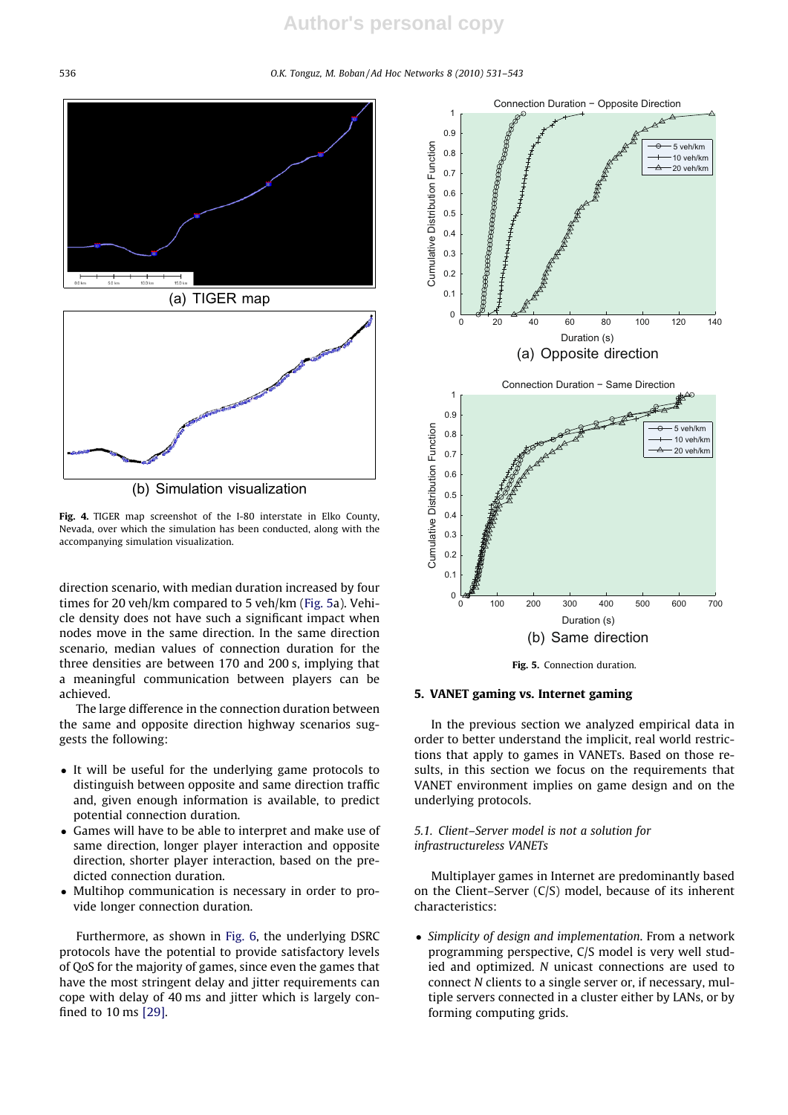## **Author's personal copy**



Fig. 4. TIGER map screenshot of the I-80 interstate in Elko County, Nevada, over which the simulation has been conducted, along with the accompanying simulation visualization.

direction scenario, with median duration increased by four times for 20 veh/km compared to 5 veh/km (Fig. 5a). Vehicle density does not have such a significant impact when nodes move in the same direction. In the same direction scenario, median values of connection duration for the three densities are between 170 and 200 s, implying that a meaningful communication between players can be achieved.

The large difference in the connection duration between the same and opposite direction highway scenarios suggests the following:

- It will be useful for the underlying game protocols to distinguish between opposite and same direction traffic and, given enough information is available, to predict potential connection duration.
- Games will have to be able to interpret and make use of same direction, longer player interaction and opposite direction, shorter player interaction, based on the predicted connection duration.
- Multihop communication is necessary in order to provide longer connection duration.

Furthermore, as shown in Fig. 6, the underlying DSRC protocols have the potential to provide satisfactory levels of QoS for the majority of games, since even the games that have the most stringent delay and jitter requirements can cope with delay of 40 ms and jitter which is largely confined to 10 ms [29].





## 5. VANET gaming vs. Internet gaming

In the previous section we analyzed empirical data in order to better understand the implicit, real world restrictions that apply to games in VANETs. Based on those results, in this section we focus on the requirements that VANET environment implies on game design and on the underlying protocols.

## 5.1. Client–Server model is not a solution for infrastructureless VANETs

Multiplayer games in Internet are predominantly based on the Client–Server (C/S) model, because of its inherent characteristics:

• Simplicity of design and implementation. From a network programming perspective, C/S model is very well studied and optimized. N unicast connections are used to connect N clients to a single server or, if necessary, multiple servers connected in a cluster either by LANs, or by forming computing grids.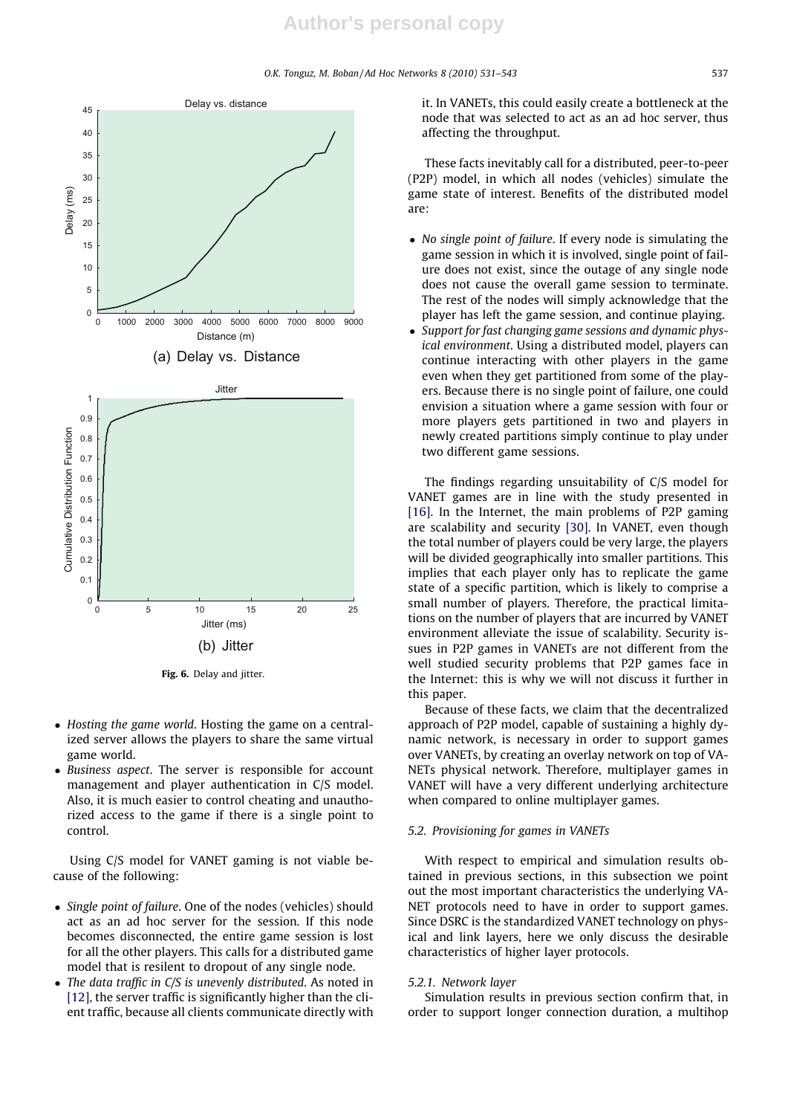O.K. Tonguz, M. Boban / Ad Hoc Networks 8 (2010) 531–543 537



Fig. 6. Delay and jitter.

- Hosting the game world. Hosting the game on a centralized server allows the players to share the same virtual game world.
- Business aspect. The server is responsible for account management and player authentication in C/S model. Also, it is much easier to control cheating and unauthorized access to the game if there is a single point to control.

Using C/S model for VANET gaming is not viable because of the following:

- Single point of failure. One of the nodes (vehicles) should act as an ad hoc server for the session. If this node becomes disconnected, the entire game session is lost for all the other players. This calls for a distributed game model that is resilent to dropout of any single node.
- The data traffic in C/S is unevenly distributed. As noted in [12], the server traffic is significantly higher than the client traffic, because all clients communicate directly with

it. In VANETs, this could easily create a bottleneck at the node that was selected to act as an ad hoc server, thus affecting the throughput.

These facts inevitably call for a distributed, peer-to-peer (P2P) model, in which all nodes (vehicles) simulate the game state of interest. Benefits of the distributed model are:

- No single point of failure. If every node is simulating the game session in which it is involved, single point of failure does not exist, since the outage of any single node does not cause the overall game session to terminate. The rest of the nodes will simply acknowledge that the player has left the game session, and continue playing.
- Support for fast changing game sessions and dynamic physical environment. Using a distributed model, players can continue interacting with other players in the game even when they get partitioned from some of the players. Because there is no single point of failure, one could envision a situation where a game session with four or more players gets partitioned in two and players in newly created partitions simply continue to play under two different game sessions.

The findings regarding unsuitability of C/S model for VANET games are in line with the study presented in [16]. In the Internet, the main problems of P2P gaming are scalability and security [30]. In VANET, even though the total number of players could be very large, the players will be divided geographically into smaller partitions. This implies that each player only has to replicate the game state of a specific partition, which is likely to comprise a small number of players. Therefore, the practical limitations on the number of players that are incurred by VANET environment alleviate the issue of scalability. Security issues in P2P games in VANETs are not different from the well studied security problems that P2P games face in the Internet: this is why we will not discuss it further in this paper.

Because of these facts, we claim that the decentralized approach of P2P model, capable of sustaining a highly dynamic network, is necessary in order to support games over VANETs, by creating an overlay network on top of VA-NETs physical network. Therefore, multiplayer games in VANET will have a very different underlying architecture when compared to online multiplayer games.

## 5.2. Provisioning for games in VANETs

With respect to empirical and simulation results obtained in previous sections, in this subsection we point out the most important characteristics the underlying VA-NET protocols need to have in order to support games. Since DSRC is the standardized VANET technology on physical and link layers, here we only discuss the desirable characteristics of higher layer protocols.

#### 5.2.1. Network layer

Simulation results in previous section confirm that, in order to support longer connection duration, a multihop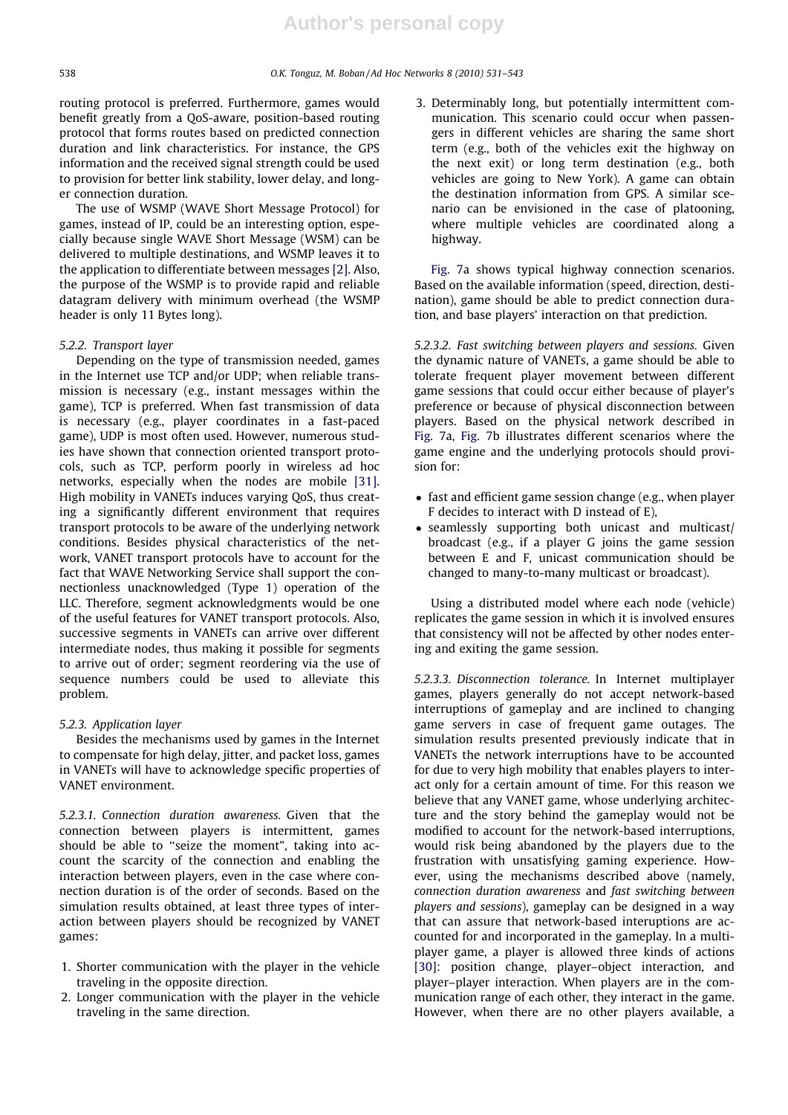routing protocol is preferred. Furthermore, games would benefit greatly from a QoS-aware, position-based routing protocol that forms routes based on predicted connection duration and link characteristics. For instance, the GPS information and the received signal strength could be used to provision for better link stability, lower delay, and longer connection duration.

The use of WSMP (WAVE Short Message Protocol) for games, instead of IP, could be an interesting option, especially because single WAVE Short Message (WSM) can be delivered to multiple destinations, and WSMP leaves it to the application to differentiate between messages [2]. Also, the purpose of the WSMP is to provide rapid and reliable datagram delivery with minimum overhead (the WSMP header is only 11 Bytes long).

## 5.2.2. Transport layer

Depending on the type of transmission needed, games in the Internet use TCP and/or UDP; when reliable transmission is necessary (e.g., instant messages within the game), TCP is preferred. When fast transmission of data is necessary (e.g., player coordinates in a fast-paced game), UDP is most often used. However, numerous studies have shown that connection oriented transport protocols, such as TCP, perform poorly in wireless ad hoc networks, especially when the nodes are mobile [31]. High mobility in VANETs induces varying QoS, thus creating a significantly different environment that requires transport protocols to be aware of the underlying network conditions. Besides physical characteristics of the network, VANET transport protocols have to account for the fact that WAVE Networking Service shall support the connectionless unacknowledged (Type 1) operation of the LLC. Therefore, segment acknowledgments would be one of the useful features for VANET transport protocols. Also, successive segments in VANETs can arrive over different intermediate nodes, thus making it possible for segments to arrive out of order; segment reordering via the use of sequence numbers could be used to alleviate this problem.

## 5.2.3. Application layer

Besides the mechanisms used by games in the Internet to compensate for high delay, jitter, and packet loss, games in VANETs will have to acknowledge specific properties of VANET environment.

5.2.3.1. Connection duration awareness. Given that the connection between players is intermittent, games should be able to ''seize the moment", taking into account the scarcity of the connection and enabling the interaction between players, even in the case where connection duration is of the order of seconds. Based on the simulation results obtained, at least three types of interaction between players should be recognized by VANET games:

- 1. Shorter communication with the player in the vehicle traveling in the opposite direction.
- 2. Longer communication with the player in the vehicle traveling in the same direction.

3. Determinably long, but potentially intermittent communication. This scenario could occur when passengers in different vehicles are sharing the same short term (e.g., both of the vehicles exit the highway on the next exit) or long term destination (e.g., both vehicles are going to New York). A game can obtain the destination information from GPS. A similar scenario can be envisioned in the case of platooning, where multiple vehicles are coordinated along a highway.

Fig. 7a shows typical highway connection scenarios. Based on the available information (speed, direction, destination), game should be able to predict connection duration, and base players' interaction on that prediction.

5.2.3.2. Fast switching between players and sessions. Given the dynamic nature of VANETs, a game should be able to tolerate frequent player movement between different game sessions that could occur either because of player's preference or because of physical disconnection between players. Based on the physical network described in Fig. 7a, Fig. 7b illustrates different scenarios where the game engine and the underlying protocols should provision for:

- fast and efficient game session change (e.g., when player F decides to interact with D instead of E),
- seamlessly supporting both unicast and multicast/ broadcast (e.g., if a player G joins the game session between E and F, unicast communication should be changed to many-to-many multicast or broadcast).

Using a distributed model where each node (vehicle) replicates the game session in which it is involved ensures that consistency will not be affected by other nodes entering and exiting the game session.

5.2.3.3. Disconnection tolerance. In Internet multiplayer games, players generally do not accept network-based interruptions of gameplay and are inclined to changing game servers in case of frequent game outages. The simulation results presented previously indicate that in VANETs the network interruptions have to be accounted for due to very high mobility that enables players to interact only for a certain amount of time. For this reason we believe that any VANET game, whose underlying architecture and the story behind the gameplay would not be modified to account for the network-based interruptions, would risk being abandoned by the players due to the frustration with unsatisfying gaming experience. However, using the mechanisms described above (namely, connection duration awareness and fast switching between players and sessions), gameplay can be designed in a way that can assure that network-based interuptions are accounted for and incorporated in the gameplay. In a multiplayer game, a player is allowed three kinds of actions [30]: position change, player–object interaction, and player–player interaction. When players are in the communication range of each other, they interact in the game. However, when there are no other players available, a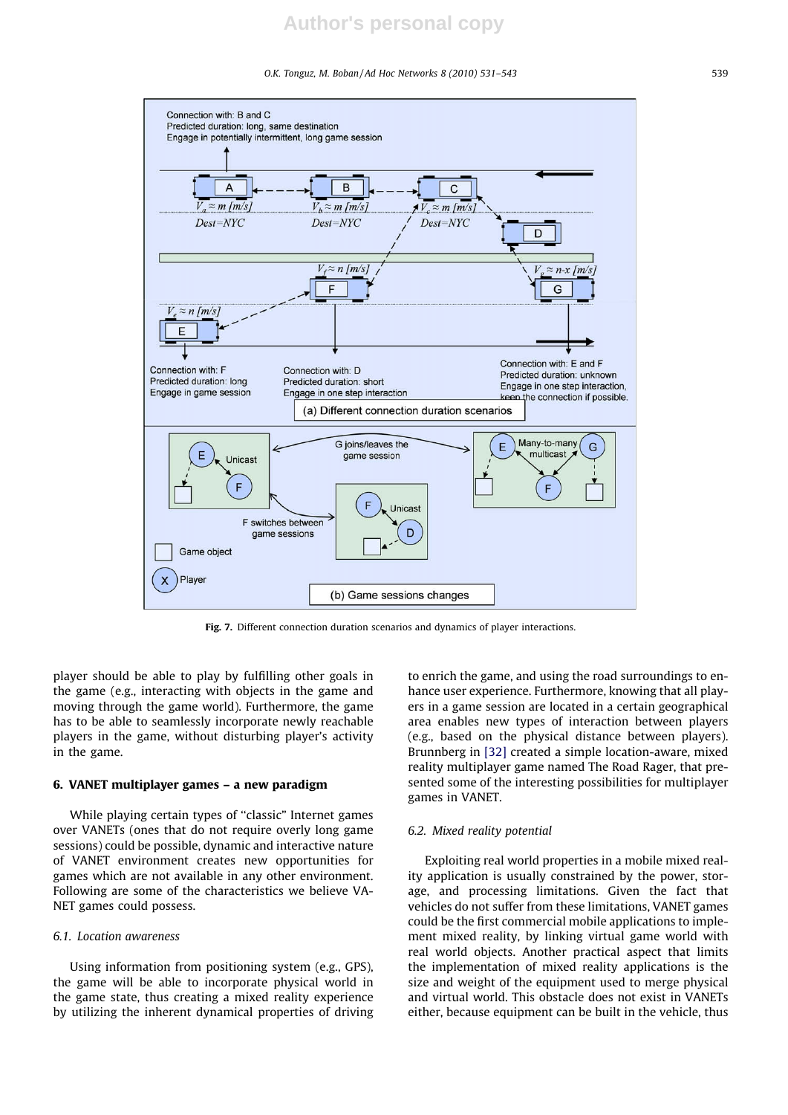O.K. Tonguz, M. Boban / Ad Hoc Networks 8 (2010) 531–543 539



Fig. 7. Different connection duration scenarios and dynamics of player interactions.

player should be able to play by fulfilling other goals in the game (e.g., interacting with objects in the game and moving through the game world). Furthermore, the game has to be able to seamlessly incorporate newly reachable players in the game, without disturbing player's activity in the game.

## 6. VANET multiplayer games – a new paradigm

While playing certain types of ''classic" Internet games over VANETs (ones that do not require overly long game sessions) could be possible, dynamic and interactive nature of VANET environment creates new opportunities for games which are not available in any other environment. Following are some of the characteristics we believe VA-NET games could possess.

## 6.1. Location awareness

Using information from positioning system (e.g., GPS), the game will be able to incorporate physical world in the game state, thus creating a mixed reality experience by utilizing the inherent dynamical properties of driving

to enrich the game, and using the road surroundings to enhance user experience. Furthermore, knowing that all players in a game session are located in a certain geographical area enables new types of interaction between players (e.g., based on the physical distance between players). Brunnberg in [32] created a simple location-aware, mixed reality multiplayer game named The Road Rager, that presented some of the interesting possibilities for multiplayer games in VANET.

## 6.2. Mixed reality potential

Exploiting real world properties in a mobile mixed reality application is usually constrained by the power, storage, and processing limitations. Given the fact that vehicles do not suffer from these limitations, VANET games could be the first commercial mobile applications to implement mixed reality, by linking virtual game world with real world objects. Another practical aspect that limits the implementation of mixed reality applications is the size and weight of the equipment used to merge physical and virtual world. This obstacle does not exist in VANETs either, because equipment can be built in the vehicle, thus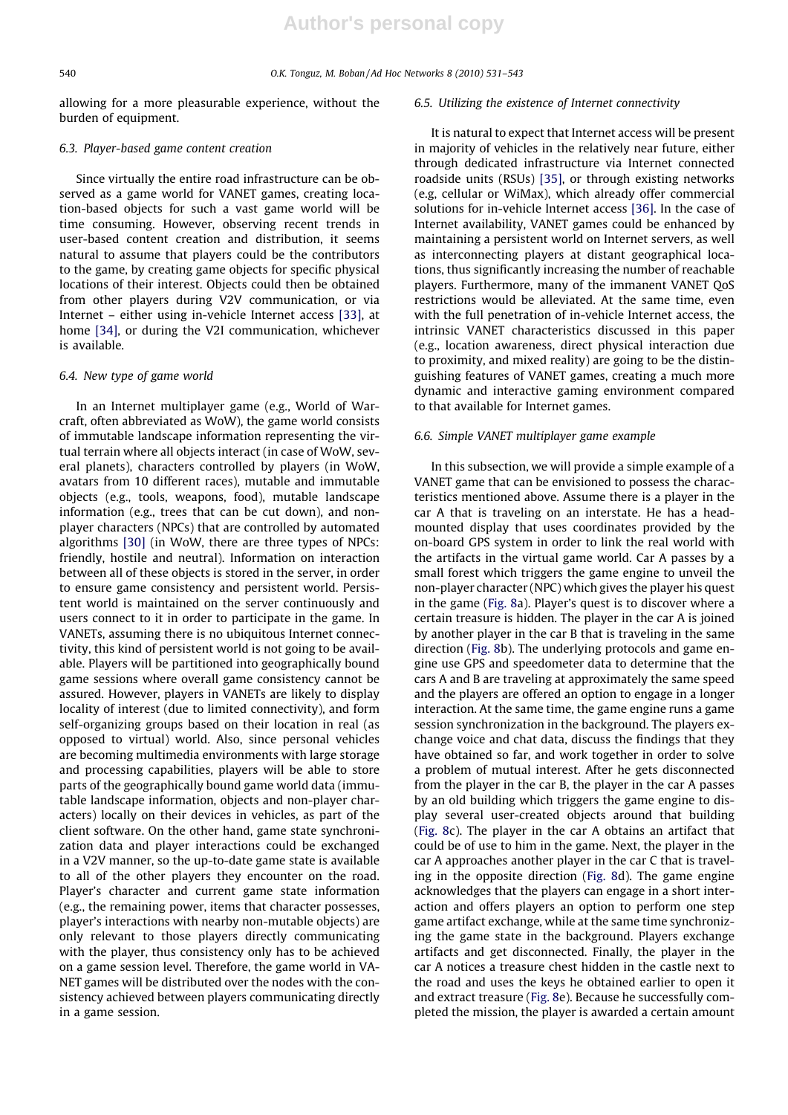allowing for a more pleasurable experience, without the burden of equipment.

#### 6.3. Player-based game content creation

Since virtually the entire road infrastructure can be observed as a game world for VANET games, creating location-based objects for such a vast game world will be time consuming. However, observing recent trends in user-based content creation and distribution, it seems natural to assume that players could be the contributors to the game, by creating game objects for specific physical locations of their interest. Objects could then be obtained from other players during V2V communication, or via Internet – either using in-vehicle Internet access [33], at home [34], or during the V2I communication, whichever is available.

## 6.4. New type of game world

In an Internet multiplayer game (e.g., World of Warcraft, often abbreviated as WoW), the game world consists of immutable landscape information representing the virtual terrain where all objects interact (in case of WoW, several planets), characters controlled by players (in WoW, avatars from 10 different races), mutable and immutable objects (e.g., tools, weapons, food), mutable landscape information (e.g., trees that can be cut down), and nonplayer characters (NPCs) that are controlled by automated algorithms [30] (in WoW, there are three types of NPCs: friendly, hostile and neutral). Information on interaction between all of these objects is stored in the server, in order to ensure game consistency and persistent world. Persistent world is maintained on the server continuously and users connect to it in order to participate in the game. In VANETs, assuming there is no ubiquitous Internet connectivity, this kind of persistent world is not going to be available. Players will be partitioned into geographically bound game sessions where overall game consistency cannot be assured. However, players in VANETs are likely to display locality of interest (due to limited connectivity), and form self-organizing groups based on their location in real (as opposed to virtual) world. Also, since personal vehicles are becoming multimedia environments with large storage and processing capabilities, players will be able to store parts of the geographically bound game world data (immutable landscape information, objects and non-player characters) locally on their devices in vehicles, as part of the client software. On the other hand, game state synchronization data and player interactions could be exchanged in a V2V manner, so the up-to-date game state is available to all of the other players they encounter on the road. Player's character and current game state information (e.g., the remaining power, items that character possesses, player's interactions with nearby non-mutable objects) are only relevant to those players directly communicating with the player, thus consistency only has to be achieved on a game session level. Therefore, the game world in VA-NET games will be distributed over the nodes with the consistency achieved between players communicating directly in a game session.

#### 6.5. Utilizing the existence of Internet connectivity

It is natural to expect that Internet access will be present in majority of vehicles in the relatively near future, either through dedicated infrastructure via Internet connected roadside units (RSUs) [35], or through existing networks (e.g, cellular or WiMax), which already offer commercial solutions for in-vehicle Internet access [36]. In the case of Internet availability, VANET games could be enhanced by maintaining a persistent world on Internet servers, as well as interconnecting players at distant geographical locations, thus significantly increasing the number of reachable players. Furthermore, many of the immanent VANET QoS restrictions would be alleviated. At the same time, even with the full penetration of in-vehicle Internet access, the intrinsic VANET characteristics discussed in this paper (e.g., location awareness, direct physical interaction due to proximity, and mixed reality) are going to be the distinguishing features of VANET games, creating a much more dynamic and interactive gaming environment compared to that available for Internet games.

#### 6.6. Simple VANET multiplayer game example

In this subsection, we will provide a simple example of a VANET game that can be envisioned to possess the characteristics mentioned above. Assume there is a player in the car A that is traveling on an interstate. He has a headmounted display that uses coordinates provided by the on-board GPS system in order to link the real world with the artifacts in the virtual game world. Car A passes by a small forest which triggers the game engine to unveil the non-player character (NPC) which gives the player his quest in the game (Fig. 8a). Player's quest is to discover where a certain treasure is hidden. The player in the car A is joined by another player in the car B that is traveling in the same direction (Fig. 8b). The underlying protocols and game engine use GPS and speedometer data to determine that the cars A and B are traveling at approximately the same speed and the players are offered an option to engage in a longer interaction. At the same time, the game engine runs a game session synchronization in the background. The players exchange voice and chat data, discuss the findings that they have obtained so far, and work together in order to solve a problem of mutual interest. After he gets disconnected from the player in the car B, the player in the car A passes by an old building which triggers the game engine to display several user-created objects around that building (Fig. 8c). The player in the car A obtains an artifact that could be of use to him in the game. Next, the player in the car A approaches another player in the car C that is traveling in the opposite direction (Fig. 8d). The game engine acknowledges that the players can engage in a short interaction and offers players an option to perform one step game artifact exchange, while at the same time synchronizing the game state in the background. Players exchange artifacts and get disconnected. Finally, the player in the car A notices a treasure chest hidden in the castle next to the road and uses the keys he obtained earlier to open it and extract treasure (Fig. 8e). Because he successfully completed the mission, the player is awarded a certain amount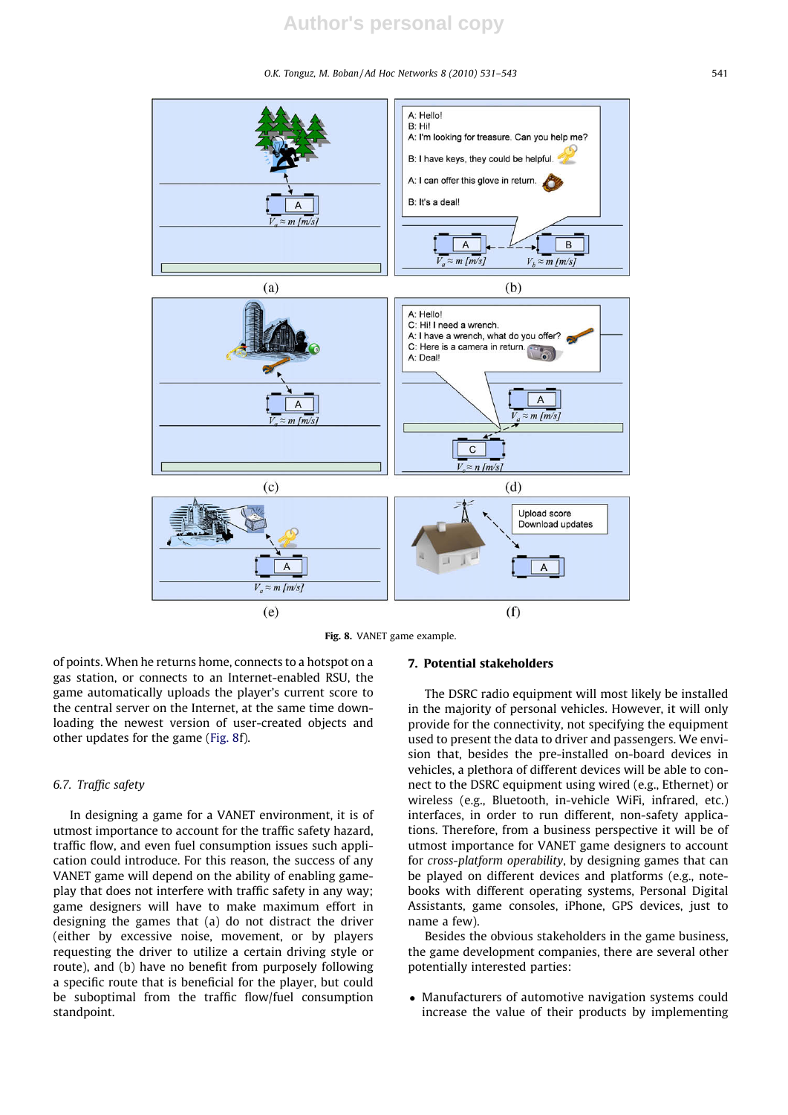## **Author's personal copy**

O.K. Tonguz, M. Boban / Ad Hoc Networks 8 (2010) 531–543 541



Fig. 8. VANET game example.

of points. When he returns home, connects to a hotspot on a gas station, or connects to an Internet-enabled RSU, the game automatically uploads the player's current score to the central server on the Internet, at the same time downloading the newest version of user-created objects and other updates for the game (Fig. 8f).

## 6.7. Traffic safety

In designing a game for a VANET environment, it is of utmost importance to account for the traffic safety hazard, traffic flow, and even fuel consumption issues such application could introduce. For this reason, the success of any VANET game will depend on the ability of enabling gameplay that does not interfere with traffic safety in any way; game designers will have to make maximum effort in designing the games that (a) do not distract the driver (either by excessive noise, movement, or by players requesting the driver to utilize a certain driving style or route), and (b) have no benefit from purposely following a specific route that is beneficial for the player, but could be suboptimal from the traffic flow/fuel consumption standpoint.

#### 7. Potential stakeholders

The DSRC radio equipment will most likely be installed in the majority of personal vehicles. However, it will only provide for the connectivity, not specifying the equipment used to present the data to driver and passengers. We envision that, besides the pre-installed on-board devices in vehicles, a plethora of different devices will be able to connect to the DSRC equipment using wired (e.g., Ethernet) or wireless (e.g., Bluetooth, in-vehicle WiFi, infrared, etc.) interfaces, in order to run different, non-safety applications. Therefore, from a business perspective it will be of utmost importance for VANET game designers to account for cross-platform operability, by designing games that can be played on different devices and platforms (e.g., notebooks with different operating systems, Personal Digital Assistants, game consoles, iPhone, GPS devices, just to name a few).

Besides the obvious stakeholders in the game business, the game development companies, there are several other potentially interested parties:

 Manufacturers of automotive navigation systems could increase the value of their products by implementing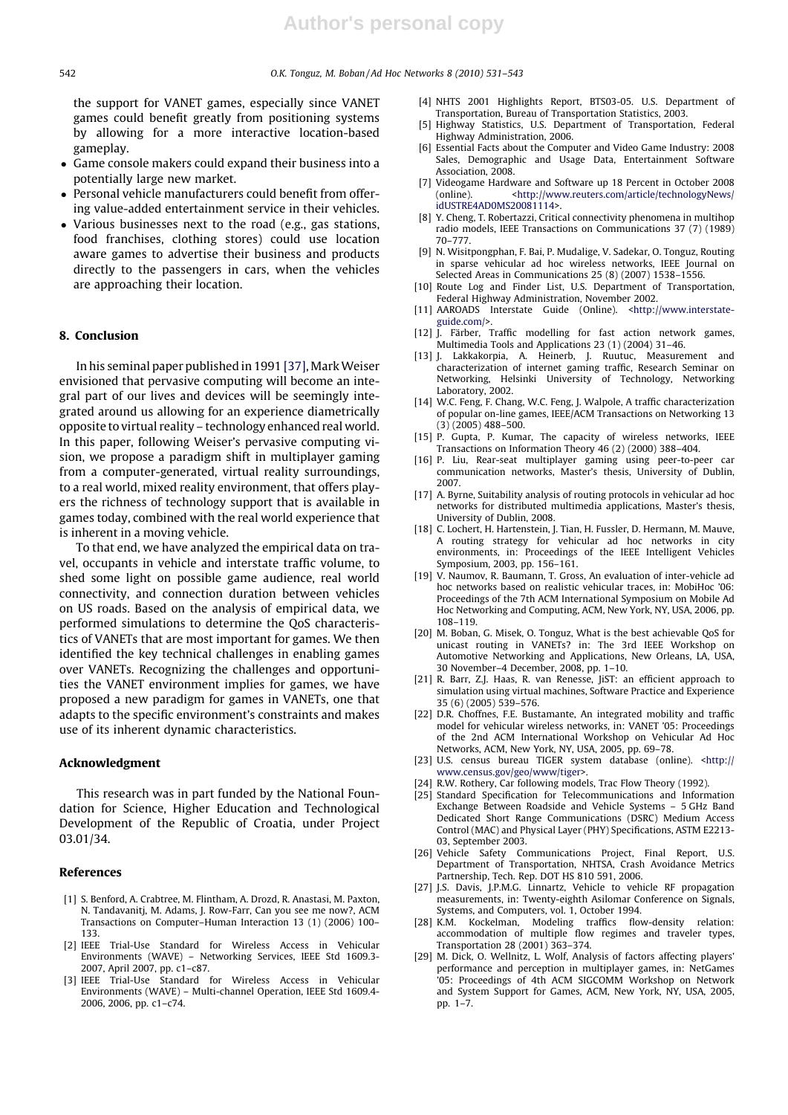the support for VANET games, especially since VANET games could benefit greatly from positioning systems by allowing for a more interactive location-based gameplay.

- Game console makers could expand their business into a potentially large new market.
- Personal vehicle manufacturers could benefit from offering value-added entertainment service in their vehicles.
- Various businesses next to the road (e.g., gas stations, food franchises, clothing stores) could use location aware games to advertise their business and products directly to the passengers in cars, when the vehicles are approaching their location.

## 8. Conclusion

In his seminal paper published in 1991 [37], MarkWeiser envisioned that pervasive computing will become an integral part of our lives and devices will be seemingly integrated around us allowing for an experience diametrically opposite to virtual reality – technology enhanced real world. In this paper, following Weiser's pervasive computing vision, we propose a paradigm shift in multiplayer gaming from a computer-generated, virtual reality surroundings, to a real world, mixed reality environment, that offers players the richness of technology support that is available in games today, combined with the real world experience that is inherent in a moving vehicle.

To that end, we have analyzed the empirical data on travel, occupants in vehicle and interstate traffic volume, to shed some light on possible game audience, real world connectivity, and connection duration between vehicles on US roads. Based on the analysis of empirical data, we performed simulations to determine the QoS characteristics of VANETs that are most important for games. We then identified the key technical challenges in enabling games over VANETs. Recognizing the challenges and opportunities the VANET environment implies for games, we have proposed a new paradigm for games in VANETs, one that adapts to the specific environment's constraints and makes use of its inherent dynamic characteristics.

#### Acknowledgment

This research was in part funded by the National Foundation for Science, Higher Education and Technological Development of the Republic of Croatia, under Project 03.01/34.

#### References

- [1] S. Benford, A. Crabtree, M. Flintham, A. Drozd, R. Anastasi, M. Paxton, N. Tandavanitj, M. Adams, J. Row-Farr, Can you see me now?, ACM Transactions on Computer–Human Interaction 13 (1) (2006) 100– 133.
- [2] IEEE Trial-Use Standard for Wireless Access in Vehicular Environments (WAVE) – Networking Services, IEEE Std 1609.3- 2007, April 2007, pp. c1–c87.
- [3] IEEE Trial-Use Standard for Wireless Access in Vehicular Environments (WAVE) – Multi-channel Operation, IEEE Std 1609.4- 2006, 2006, pp. c1–c74.
- [4] NHTS 2001 Highlights Report, BTS03-05. U.S. Department of Transportation, Bureau of Transportation Statistics, 2003.
- [5] Highway Statistics, U.S. Department of Transportation, Federal Highway Administration, 2006.
- [6] Essential Facts about the Computer and Video Game Industry: 2008 Sales, Demographic and Usage Data, Entertainment Software Association, 2008.
- [7] Videogame Hardware and Software up 18 Percent in October 2008 (online). <http://www.reuters.com/article/technologyNews/ idUSTRE4AD0MS20081114>.
- [8] Y. Cheng, T. Robertazzi, Critical connectivity phenomena in multihop radio models, IEEE Transactions on Communications 37 (7) (1989) 70–777.
- [9] N. Wisitpongphan, F. Bai, P. Mudalige, V. Sadekar, O. Tonguz, Routing in sparse vehicular ad hoc wireless networks, IEEE Journal on Selected Areas in Communications 25 (8) (2007) 1538–1556.
- [10] Route Log and Finder List, U.S. Department of Transportation, Federal Highway Administration, November 2002.
- [11] AAROADS Interstate Guide (Online). <http://www.interstateguide.com/>.
- [12] J. Färber, Traffic modelling for fast action network games, Multimedia Tools and Applications 23 (1) (2004) 31–46.
- [13] J. Lakkakorpia, A. Heinerb, J. Ruutuc, Measurement and characterization of internet gaming traffic, Research Seminar on Networking, Helsinki University of Technology, Networking Laboratory, 2002.
- [14] W.C. Feng, F. Chang, W.C. Feng, J. Walpole, A traffic characterization of popular on-line games, IEEE/ACM Transactions on Networking 13 (3) (2005) 488–500.
- [15] P. Gupta, P. Kumar, The capacity of wireless networks, IEEE Transactions on Information Theory 46 (2) (2000) 388–404.
- [16] P. Liu, Rear-seat multiplayer gaming using peer-to-peer car communication networks, Master's thesis, University of Dublin, 2007.
- [17] A. Byrne, Suitability analysis of routing protocols in vehicular ad hoc networks for distributed multimedia applications, Master's thesis, University of Dublin, 2008.
- [18] C. Lochert, H. Hartenstein, J. Tian, H. Fussler, D. Hermann, M. Mauve, A routing strategy for vehicular ad hoc networks in city environments, in: Proceedings of the IEEE Intelligent Vehicles Symposium, 2003, pp. 156–161.
- [19] V. Naumov, R. Baumann, T. Gross, An evaluation of inter-vehicle ad hoc networks based on realistic vehicular traces, in: MobiHoc '06: Proceedings of the 7th ACM International Symposium on Mobile Ad Hoc Networking and Computing, ACM, New York, NY, USA, 2006, pp. 108–119.
- [20] M. Boban, G. Misek, O. Tonguz, What is the best achievable QoS for unicast routing in VANETs? in: The 3rd IEEE Workshop on Automotive Networking and Applications, New Orleans, LA, USA, 30 November–4 December, 2008, pp. 1–10.
- [21] R. Barr, Z.J. Haas, R. van Renesse, JiST: an efficient approach to simulation using virtual machines, Software Practice and Experience 35 (6) (2005) 539–576.
- [22] D.R. Choffnes, F.E. Bustamante, An integrated mobility and traffic model for vehicular wireless networks, in: VANET '05: Proceedings of the 2nd ACM International Workshop on Vehicular Ad Hoc Networks, ACM, New York, NY, USA, 2005, pp. 69–78.
- [23] U.S. census bureau TIGER system database (online). <http:// www.census.gov/geo/www/tiger>.
- [24] R.W. Rothery, Car following models, Trac Flow Theory (1992).
- [25] Standard Specification for Telecommunications and Information Exchange Between Roadside and Vehicle Systems – 5 GHz Band Dedicated Short Range Communications (DSRC) Medium Access Control (MAC) and Physical Layer (PHY) Specifications, ASTM E2213- 03, September 2003.
- [26] Vehicle Safety Communications Project, Final Report, U.S. Department of Transportation, NHTSA, Crash Avoidance Metrics Partnership, Tech. Rep. DOT HS 810 591, 2006.
- [27] J.S. Davis, J.P.M.G. Linnartz, Vehicle to vehicle RF propagation measurements, in: Twenty-eighth Asilomar Conference on Signals, Systems, and Computers, vol. 1, October 1994.
- [28] K.M. Kockelman, Modeling traffics flow-density relation: accommodation of multiple flow regimes and traveler types, Transportation 28 (2001) 363–374.
- [29] M. Dick, O. Wellnitz, L. Wolf, Analysis of factors affecting players' performance and perception in multiplayer games, in: NetGames '05: Proceedings of 4th ACM SIGCOMM Workshop on Network and System Support for Games, ACM, New York, NY, USA, 2005, pp. 1–7.